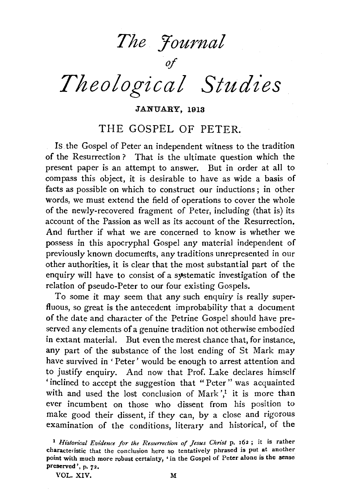*The Yournal* 

*Theological Studies* 

of

JANUARY, 1913

# THE GOSPEL OF PETER.

Is the Gospel of Peter an independent witness to the tradition of the Resurrection? That is the ultimate question which the present paper is an attempt to answer. But in order at all to compass this object, it is desirable to have as wide a basis of facts as possible on which to construct our inductions ; in other words, we must extend the field of operations to cover the whole of the newly-recovered fragment of Peter, including (that is) its account of the Passion as well as its account of the Resurrection. And further if what we are concerned to know is whether we possess in this apocryphal Gospel any material independent of previously known documerlts, any traditions unrepresented in our other authorities, it is clear that the most substantial part of the enquiry will have to consist of a systematic investigation of the relation of pseudo-Peter to our four existing Gospels.

To some it may seem that any such enquiry is really superfluous, so great is the antecedent improbability that a document of the date and character of the Petrine Gospel should have preserved any elements of a genuine tradition not otherwise embodied in extant material. But even the merest chance that, for instance, any part of the substance of the lost ending of St Mark may have survived in ' Peter' would be enough to arrest attention and to justify enquiry. And now that Prof. Lake declares himself 'inclined to accept the suggestion that "Peter " was acquainted with and used the lost conclusion of Mark',<sup>1</sup> it is more than ever incumbent on those who dissent from his position to make good their dissent, if they can, by a close and rigorous examination of the conditions, literary and historical, of the

VOL. XIV. M

<sup>&</sup>lt;sup>1</sup> Historical Evidence for the Resurrection of Jesus Christ p. 162; it is rather characteristic that the conclusion here so tentatively phrased is put at another point with much more robust certainty, • in the Gospel of Peter alone is the sense preserved', p. 72.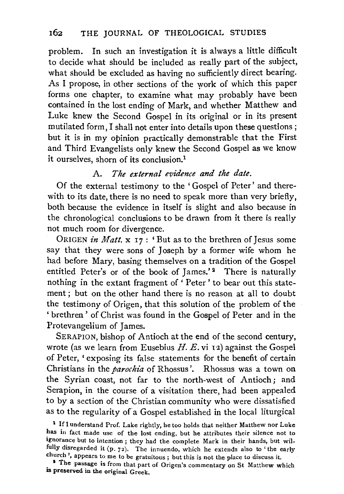problem. In such an investigation it is always a little difficult to decide what should be included as really part of the subject, what should be excluded as having no sufficiently direct bearing. As I propose, in other sections of the work of which this paper forms one chapter, to examine what may probably have been contained in the lost ending of Mark, and whether Matthew and Luke knew the Second Gospel in its original or in its present mutilated form, I shall not enter into details upon these questions; but it is in my opinion practically demonstrable that the First and Third Evangelists only knew the Second Gospel as we know it ourselves, shorn of its conclusion.1

# A. *The external evidence and the date.*

Of the external testimony to the ' Gospel of Peter' and therewith to its date, there is no need to speak more than very briefly, both because the evidence in itself is slight and also because in the chronological conclusions to be drawn from it there is really not much room for divergence.

0RIGEN *in Matt.* x 17: 'But as to the brethren of Jesus some say that they were sons of Joseph by a former wife whom he had before Mary, basing themselves on a tradition of the Gospel entitled Peter's or of the book of James.'<sup>2</sup> There is naturally nothing in the extant fragment of ' Peter ' to bear out this statement; but on the other hand there is no reason at all to doubt the testimony of Origen, that this solution of the problem of the ' brethren ' of Christ was found in the Gospel of Peter and in the Protevangelium of James.

SERAPION, bishop of Antioch at the end of the second century, wrote (as we learn from Eusebius *H. E.* vi 12) against the Gospel of Peter, ' exposing its false statements for the benefit of certain Christians in the *parochia* of Rhossus '. Rhossus was a town on the Syrian coast, not far to the north-west of Antioch; and Serapion, in the course of a visitation there, had been appealed to by a section of the Christian community who were dissatisfied as to the regularity of a Gospel established in the local liturgical

<sup>1</sup> If I understand Prof. Lake rightly, he too holds that neither Matthew nor Luke has in fact made use of the lost ending, but he attributes their silence not to ignorance but to intention ; they had the complete Mark in their hands, but wilfully disregarded it (p. 72). The innuendo, which he extends also to 'the early For the gratuitous in the method, which he extends also be the early<br> **The passage is from that part of Origent** is not the place to discuss it.<br> **•** The passage is from that part of Original Commentary on St Matthew Whic

<sup>9</sup> The passage is from that part of Origen's commentary on St Matthew which is preserved in the original Greek.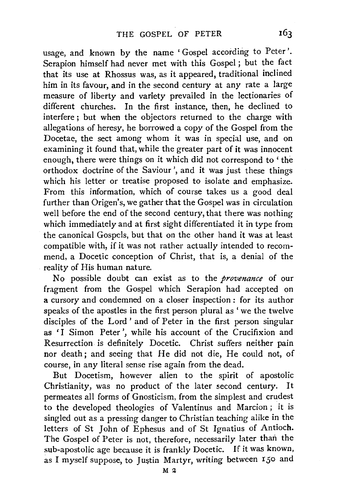usage, and known by the name 'Gospel according to Peter'. Serapion himself had never met with this Gospel ; but the fact that its use at Rhossus was, as it appeared, traditional inclined him in its favour, and in the second century at any rate a large measure of liberty and variety prevailed in the lectionaries of different churches. In the first instance, then, he declined to interfere ; but when the objectors returned to the charge with allegations of heresy, he borrowed a copy of the Gospel from the Docetae, the sect among whom it was in special use, and on examining it found that, while the greater part of it was innocent enough, there were things on it which did not correspond to ' the orthodox doctrine of the Saviour', and it was just these things which his letter or treatise proposed to isolate and emphasize. From this information, which of course takes us a good deal further than Origen's, we gather that the Gospel was in circulation well before the end of the second century, that there was nothing which immediately and at first sight differentiated it in type from the canonical Gospels, but that on the other hand it was at least compatible with, if it was not rather actually intended to recommend, a Docetic conception of Christ, that is, a denial of the reality of His human nature.

No possible doubt can exist as to the *provenance* of our fragment from the Gospel which Serapion had accepted on a cursory and condemned on a closer inspection : for its author speaks of the apostles in the first person plural as 'we the twelve disciples of the Lord' and of Peter in the first person singular as 'I Simon Peter', while his account of the Crucifixion and Resurrection is definitely Docetic. Christ suffers neither pain nor death; and seeing that He did not die, He could not, of course, in any literal sense rise again from the dead.

But Docetism, however alien to the spirit of apostolic Christianity, was no product of the later second century. It permeates all forms of Gnosticism, from the simplest and crudest to the developed theologies of Valentinus and Marcion; it is singled out as a pressing danger to Christian teaching alike in the letters of St John of Ephesus and of St Ignatius of Antioch. The Gospel of Peter is not, therefore, necessarily later than the sub-apostolic age because it is frankly Docetic. If it was known, as I myself suppose, to Justin Martyr, writing between 150 and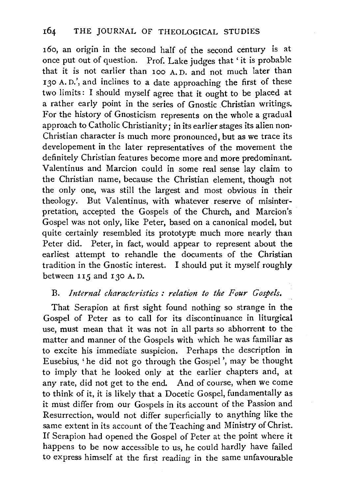160, an origin in the second half of the second century is at once put out of question. Prof. Lake judges that 'it is probable that it is not earlier than 100 A. D. and not much later than 130 A. D.', and inclines to a date approaching the first of these two limits: I should myself agree that it ought to be placed at a rather early point in the series of Gnostic Christian writings. For the history of Gnosticism represents on the whole a gradual approach to Catholic Christianity; in its earlier stages its alien non-Christian character is much more pronounced, but as we trace its developement in the later representatives of the movement the definitely Christian features become more and more predominant. Valentinus and Marcion could in some real sense lay claim to the Christian name, because the Christian element, though not the only one, was still the largest and most obvious in their theology. But Valentinus, with whatever reserve of misinterpretation, accepted the Gospels of the Church, and Marcion's Gospel was not only, like Peter, based on a canonical model, but quite certainly resembled its prototype much more nearly than Peter did. Peter, in fact, would appear to represent about the earliest attempt to rehandle the documents of the Christian tradition in the Gnostic interest. I should put it myself roughly between II5 and 130 A. D.

# B. *Internal characteristics : relation to the Four Gospels.*

That Serapion at first sight found nothing so strange in the Gospel of Peter as to call for its discontinuance in liturgical use, must mean that it was not in all parts so abhorrent to the matter and manner of the Gospels with which he was familiar as to excite his immediate suspicion. Perhaps the description in Eusebius, 'he did not go through the Gospel', may be thought to imply that he looked only at the earlier chapters and, at any rate, did not get to the end. And of course, when we come to think of it, it is likely that a Docetic Gospel, fundamentally as it must differ from our Gospels in its account of the Passion and Resurrection, would not differ superficially to anything like the same extent in its account of the Teaching and Ministry of Christ. If Serapion had opened the Gospel of Peter at the point where it happens to be now accessible to us, he could hardly have failed to express himself at the first reading in the same unfavourable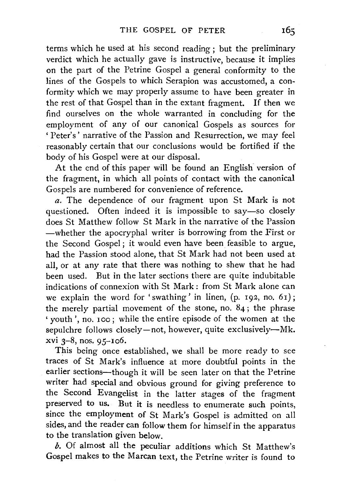terms which he used at his second reading ; but the preliminary verdict which he actually gave is instructive, because it implies on the part of the Petrine Gospel a general conformity to the lines of the Gospels to which Serapion was accustomed, a conformity which we may properly assume to have been greater in the rest of that Gospel than in the extant fragment. If then we find ourselves on the whole warranted in concluding for the employment of any of our canonical Gospels as sources for 'Peter's' narrative of the Passion and Resurrection, we may feel reasonably certain that our conclusions would be fortified if the body of his Gospel were at our disposal.

At the end of this paper will be found an English version of the fragment, in which all points of contact with the canonical Gospels are numbered for convenience of reference.

*a.* The dependence of our fragment upon St Mark is not questioned. Often indeed it is impossible to say—so closely does St Matthew follow St Mark in the narrative of the Passion -whether the apocryphal writer is borrowing from the First or the Second Gospel; it would even have been feasible to argue, had the Passion stood alone, that St Mark had not been used at all, or at any rate that there was nothing to shew that he had been used. But in the later sections there are quite indubitable indications of connexion with St Mark : from St Mark alone can we explain the word for 'swathing' in linen,  $(p. 192, no. 61)$ ; the merely partial movement of the stone, no.  $84$ ; the phrase 'youth', no. 100; while the entire episode of the women at the sepulchre follows closely-not, however, quite exclusively-Mk. xvi 3-8, nos. 95-106.

This being once established, we shall be more ready to see traces of St Mark's influence at more doubtful points in the earlier sections-though it will be seen later on that the Petrine writer had special and obvious ground for giving preference to the Second Evangelist in the latter stages of the fragment preserved to us. But it is needless to enumerate such points, since the employment of St Mark's Gospel is admitted on all sides, and the reader can follow them for himself in the apparatus to the translation given below.

 $b$ . Of almost all the peculiar additions which St Matthew's Gospel makes to the Marcan text, the Petrine writer is found to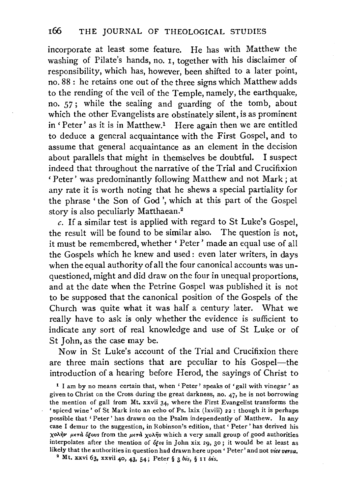incorporate at least some feature. He has with Matthew the washing of Pilate's hands, no. 1, together with his disclaimer of responsibility, which has, however, been shifted to a later point, no. 88 : he retains one out of the three signs which Matthew adds to the rending of the veil of the Temple, namely, the earthquake, no. 57; while the sealing and guarding of the tomb, about which the other Evangelists are obstinately silent, is as prominent in 'Peter' as it is in Matthew.<sup>1</sup> Here again then we are entitled to deduce a general acquaintance with the First Gospel, and to assume that general acquaintance as an element in the decision about parallels that might in themselves be doubtful. I suspect indeed that throughout the narrative of the Trial and Crucifixion 'Peter' was predominantly following Matthew and not Mark ; at any rate it is worth noting that he shews a special partiality for the phrase ' the Son of God ', which at this part of the Gospel story is also peculiarly Matthaean.2

*c.* If a similar test is applied with regard to St Luke's Gospel, the result will be found to be similar also. The question is not, it must be remembered, whether ' Peter' made an equal use of all the Gospels which he knew and used: even later writers, in days when the equal authority of all the four canonical accounts was unquestioned, might and did draw on the four in unequal proportions, and at the date when the Petrine Gospel was published it is not to be supposed that the canonical position of the Gospels of the Church was quite what it was half a century later. What we really have to ask is only whether the evidence is sufficient to indicate any sort of real knowledge and use of St Luke or of St John, as the case may be.

Now in St Luke's account of the Trial and Crucifixion there are three main sections that are peculiar to his Gospel-the introduction of a hearing before Herod, the sayings of Christ to

t I am by no means certain that, when ' Peter' speaks of 'gall with vinegar ' as given to Christ on the Cross during the great darkness, no. 47, he is not borrowing the mention of gall from Mt. xxvii 34, where the First Evangelist transforms the 'spiced wine' of St Mark into an echo of Ps. lxix (lxviii) 22 : though it is perhaps possible that 'Peter' has drawn on the Psalm independently of Matthew. In any case I demur to the suggestion, in Robinson's edition, that' Peter' has derived his *χολήν μετά όξους* from the μετά χολής which a very small group of good authorities interpolates after the mention of of os in John xix 29, 30; it would be at least as likely that the authorities in question had drawn here upon ' Peter' and not *vice versa.* 2 Mt. xxvi 63, xxvii 40, 43, 54; Peter§ 3 *bis,* § II *bis.*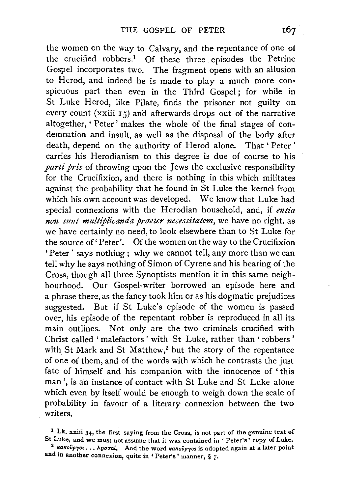the women on the way to Calvary, and the repentance of one of the crucified robbers.! Of these three episodes the Petrine Gospel incorporates two. The fragment opens with an allusion to Herod, and indeed he is made to play a much more conspicuous part than even in the Third Gospel ; for while in St Luke Herod, like Pilate, finds the prisoner not guilty on every count (xxiii 15) and afterwards drops out of the narrative altogether, ' Peter' makes the whole of the final stages of condemnation and insult, as well as the disposal of the body after death, depend on the authority of Herod alone. That ' Peter ' carries his Herodianism to this degree is due of course to his *parti pris* of throwing upon the Jews the exclusive responsibility for the Crucifixion, and there is nothing in this which militates against the probability that he found in St Luke the kernel from which his own account was developed. We know that Luke had special connexions with the Herodian household, and, if *entia non szmt multiplicanda praeter necessitatem,* we have no right, as we have certainly no need, to look elsewhere than to St Luke for the source of' Peter'. Of the women on the way to the Crucifixion 'Peter' says nothing; why we cannot tell, any more than we can tell why he says nothing of Simon of Cyrene and his bearing of the Cross, though all three Synoptists mention it in this same neighbourhood. Our Gospel-writer borrowed an episode here and a phrase there, as the fancy took him or as his dogmatic prejudices suggested. But if St Luke's episode of the women is passed over, his episode of the repentant robber is reproduced in all its main outlines. Not only are the two criminals crucified with Christ called ' malefactors ' with St Luke, rather than ' robbers ' with St Mark and St Matthew,<sup>2</sup> but the story of the repentance of one of them, and of the words with which he contrasts the just fate of himself and his companion with the innocence of ' this man', is an instance of contact with St Luke and St Luke alone which even by itself would be enough to weigh down the scale of probability in favour of a literary connexion between *the* two writers.

<sup>1</sup> Lk. xxiii 34, the first saying from the Cross, is not part of the genuine text of St Luke, and we must not assume that it was contained in ' Peter's' copy of Luke.

<sup>&</sup>lt;sup>3</sup> κακούργοι ... λησταί. And the word κακούργοs is adopted again at a later point and in another connexion, quite in 'Peter's' manner, § 7·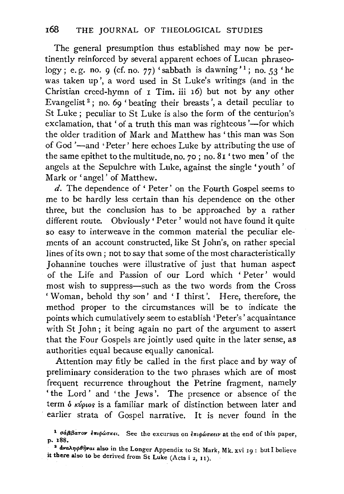The general presumption thus established may now be pertinently reinforced by several apparent echoes of Lucan phraseology; e.g. no. 9 (cf. no. 77) 'sabbath is dawning'<sup>1</sup>; no. 53 'he was taken up', a word used in St Luke's writings (and in the Christian creed-hymn of 1 Tim. iii 16) but not by any other Evangelist<sup>2</sup>; no. 69 'beating their breasts', a detail peculiar to St Luke ; peculiar to St Luke is also the form of the centurion's exclamation, that ' of a truth this man was righteous'—for which the older tradition of Mark and Matthew has 'this man was Son of God '-and 'Peter' here echoes Luke by attributing the use of the same epithet to the multitude, no. *70* ; no. 81 'two men' of the angels at the Sepulchre with Luke, against the single 'youth' of Mark or 'angel' of Matthew.

d. The dependence of' Peter' on the Fourth Gospel seems to me to be hardly less certain than his dependence on the other three, but the conclusion has to be approached by a rather different route. Obviously' Peter' would not have found it quite so easy to interweave in the common material the peculiar elements of an account constructed, like St John's, on rather special lines of its own; not to say that some of the most characteristically Johannine touches were illustrative of just that human aspect of the Life and Passion of our Lord which ' Peter' would most wish to suppress—such as the two words from the Cross 'Woman, behold thy son' and 'I thirst'. Here, therefore, the method proper to the circumstances will be to indicate the points which cumulatively seem to establish 'Peter's' acquaintance with St John ; it being again no part of the argument to assert that the Four Gospels are jointly used quite in the later sense, as authorities equal because equally canonical.

Attention may fitly be called in the first place and by way of preliminary consideration to the two phrases which are of most frequent recurrence throughout the Petrine fragment, namely 'the Lord' and 'the Jews'. The presence or absence of the term δ κύριος is a familiar mark of distinction between later and earlier strata of Gospel narrative. It is never found in the

<sup>&</sup>lt;sup>1</sup>  $\sigma$ *a* $\beta$  $\beta$  $\sigma$  $\sigma$ *v*  $\epsilon$ *m* $\phi$  $\omega$ *o* $\kappa\epsilon$ *i*. See the excursus on  $\epsilon$ *m* $\phi$  $\omega$ *o* $\kappa\epsilon$ *i*. At the end of this paper, p. I88.

<sup>&</sup>lt;sup>2</sup> dναληφθήναι also in the Longer Appendix to St Mark, Mk. xvi 19 : but I believe it there also to be derived from St Luke (Acts i 2, 11).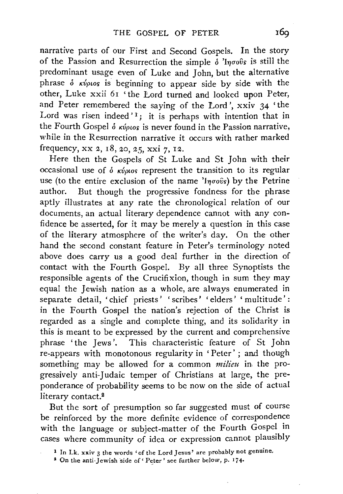narrative parts of our First and Second Gospels. In the story of the Passion and Resurrection the simple  $\delta$  'lnooos is still the predominant usage even of Luke and John, but the alternative phrase  $\delta$  *kv*<sub>ptos</sub> is beginning to appear side by side with the other, Luke xxii 61 'the Lord turned and looked upon Peter, and Peter remembered the saying of the Lord', xxiv 34 'the Lord was risen indeed'<sup>1</sup>; it is perhaps with intention that in the Fourth Gospel δ κύριος is never found in the Passion narrative, while in the Resurrection narrative it occurs with rather marked frequency, xx 2, 18, 20, *25,* xxi 7, 12.

Here then the Gospels of St Luke and St John with their occasional use of  $\delta$  *k*v<sub>plos</sub> represent the transition to its regular use (to the entire exclusion of the name ' $I_{\eta\sigma o\hat{v}s}$ ) by the Petrine author. But though the progressive fondness for the phrase aptly illustrates at any rate the chronological relation of our documents, an actual literary dependence cannot with any confidence be asserted, for it may be merely a question in this case of the literary atmosphere of the writer's day. On the other hand the second constant feature in Peter's terminology noted above does carry us a good deal further in the direction of contact with the Fourth Gospel. By all three Synoptists the responsible agents of the Crucifixion, though in sum they may equal the Jewish nation as a whole, are always enumerated in separate detail, 'chief priests' 'scribes' 'elders' ' multitude' : in the Fourth Gospel the nation's rejection of the Christ is regarded as a single and complete thing, and its solidarity in this is meant to be expressed by the current and comprehensive phrase 'the Jews'. This characteristic feature of St John re-appears with monotonous regularity in ' Peter' ; and though something may be allowed for a common *milieu* in the progressively anti-Judaic temper of Christians at large, the preponderance of probability seems to be now on the side of actual literary contact.<sup>2</sup>

But the sort of presumption so far suggested must of course be reinforced by the more definite evidence of correspondence with the language or subject-matter of the Fourth Gospel in cases where community of idea or expression cannot plausibly

<sup>1</sup> In Lk. xxiv 3 the words 'of the Lord Jesus' are probably not genuine,

<sup>&</sup>lt;sup>2</sup> On the anti-Jewish side of 'Peter' see further below, p. 174.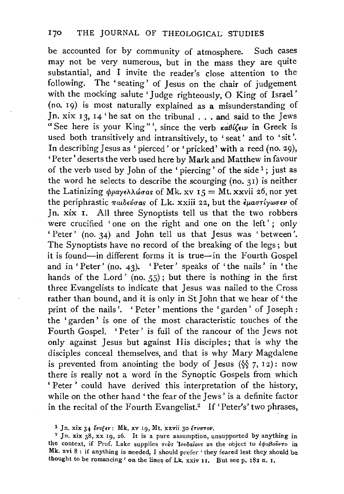be accounted for by community of atmosphere. Such cases may not be very numerous, but in the mass they are quite substantial, and I invite the reader's close attention to the following. The ' seating' of Jesus on the chair of judgement with the mocking salute 'Judge righteously, 0 King of Israel ' (no. 19) is most naturally explained as a misunderstanding of Jn. xix 13, 14 'he sat on the tribunal ... and said to the Jews "See here is your King"', since the verb  $\kappa a \theta l \zeta \epsilon \nu$  in Greek is used both transitively and intransitively, to 'seat' and to 'sit'. In describing Jesus as 'pierced' or 'pricked' with a reed (no. 29), 'Peter' deserts the verb used here by Mark and Matthew in favour of the verb used by John of the 'piercing' of the side  $\frac{1}{1}$ ; just as the word he selects to describe the scourging (no. 31) is neither the Latinizing  $\phi \rho a y \epsilon \lambda \Delta \phi \sigma a s$  of Mk. xv  $I_5 = Mt$ . xxvii 26, nor yet the periphrastic  $\pi a\iota\delta\epsilon\nu\sigma a s$  of Lk. xxiii 22, but the  $\epsilon\mu a\sigma\tau\iota\nu\omega\sigma\epsilon\nu$  of Jn. xix I. All three Synoptists tell us that the two robbers were crucified 'one on the right and one on the left'; only 'Peter' (no. 34) and John tell us that Jesus was 'between'. The Synoptists have no record of the breaking of the legs; but it is found-in different forms it is true-in the Fourth Gospel and in 'Peter' (no. 43). 'Peter' speaks of 'the nails' in 'the hands of the Lord' (no.  $55$ ); but there is nothing in the first three Evangelists to indicate that Jesus was nailed to the Cross rather than bound, and it is only in St John that we hear of' the print of the nails'. 'Peter' mentions the 'garden' of Joseph : the 'garden ' is one of the most characteristic touches of the Fourth Gospel. ' Peter' is full of the rancour of the Jews not only against Jesus but against His disciples; that is why the disciples conceal themselves, and that is why Mary Magdalene is prevented from anointing the body of Jesus  $(\S \ \gamma, 12)$ : now there is really not a word in the Synoptic Gospels from which 'Peter' could have derived this interpretation of the history, while on the other hand 'the fear of the Jews' is a definite factor in the recital of the Fourth Evangelist.<sup>2</sup> If 'Peter's' two phrases,

<sup>&</sup>lt;sup>1</sup> Jn. xix 34  $\ell v \ell \epsilon v$ : Mk. xv 19, Mt. xxvii 30  $\ell \tau v \pi \tau o \nu$ .

<sup>&</sup>lt;sup>2</sup> Jn. xix  $38$ , xx 19, 26. It is a pure assumption, unsupported by anything in the context, if Prof. Lake supplies τουs *'Iovδαίουs* as the object to έφοβούντο in Mk. xvi 8 : if anything is needed, I should prefer ' they feared lest they should be thought to be romancing' on the lines of Lk. xxiv 11. But seep. 182 n, r.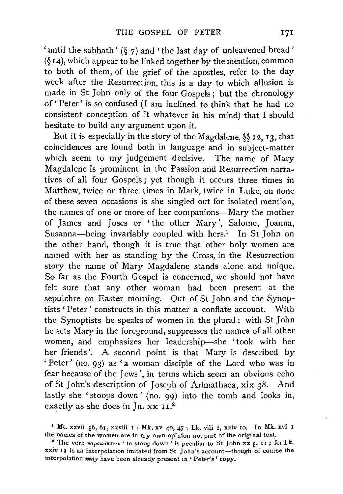'until the sabbath'  $(\S$  7) and 'the last day of unleavened bread'  $(\S 14)$ , which appear to be linked together by the mention, common to both of them, of the grief of the apostles, refer to the day week after the Resurrection, this is a day to which allusion is made in St John only of the four Gospels; but the chronology of' Peter' is so confused (I am inclined to think that he had no consistent conception of it whatever in his mind) that I should hesitate to build any argument upon it.

But it is especially in the story of the Magdalene, §§ 12, 13, that coincidences are found both in language and in subject-matter which seem to my judgement decisive. The name of Mary Magdalene is prominent in the Passion and Resurrection narratives of all four Gospels ; yet though it occurs three times in Matthew, twice or three times in Mark, twice in Luke, on none of these seven occasions is she singled out for isolated mention, the names of one or more of her companions-Mary the mother of James and Joses or 'the other Mary', Salome, Joanna, Susanna-being invariably coupled with hers.<sup>1</sup> In St John on the other hand, though it is true that other holy women are named with her as standing by the Cross, in the Resurrection story the name of Mary Magdalene stands alone and unique. So far as the Fourth Gospel is concerned, we should not have felt sure that any other woman had been present at the sepulchre on Easter morning. Out of St John and the Synoptists ' Peter ' constructs in this matter a conflate account. With the Synoptists he speaks of women in the plural : with St John he sets Mary in the foreground, suppresses the names of all other women, and emphasizes her leadership-she 'took with her her friends'. A second point is that Mary is described by 'Peter' (no. 93) as 'a woman disciple of the Lord who was in fear because of the Jews', in terms which seem an obvious echo of St John's description of Joseph of Arimathaea, xix 38. And lastly she 'stoops down' {no. 99) into the tomb and looks in, exactly as she does in Jn.  $xx$  11.<sup>2</sup>

<sup>&</sup>lt;sup>1</sup> Mt. xxvii 56, 61, xxviii 1: Mk. xv 40, 47: Lk. viii 2, xxiv 10. In Mk. xvi 1 the names of the women are in my own opinion not part of the original text.

<sup>&</sup>lt;sup>2</sup> The verb  $\pi a \rho a \kappa \omega \pi \tau \epsilon \nu$  ' to stoop down' is peculiar to St John xx 5, 11; for Lk. xxiv I3 is an interpolation imitated from St John's account-though of course the interpolation may have been already present in 'Peter's' copy.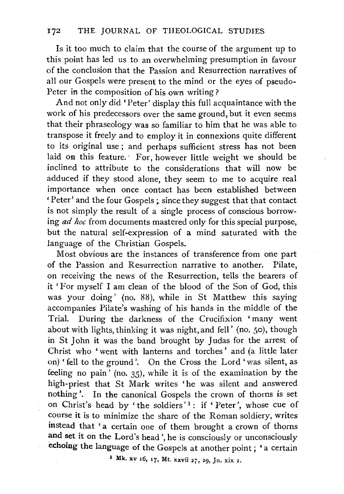Is it too much to claim that the course of the argument up to this point has led us to an overwhelming presumption in favour of the conclusion that the Passion and Resurrection narratives of all our Gospels were present to the mind or the eyes of pseudo-Peter in the composition of his own writing?

And not only did 'Peter' display this full acquaintance with the work of his predecessors over the same ground, but it even seems that their phraseology was so familiar to him that he was able to transpose it freely and to employ it in connexions quite different to its original use; and perhaps sufficient stress has not been laid on this feature. For, however little weight we should be inclined to attribute to the considerations that will now be adduced if they stood alone, they seem to me to acquire real importance when once contact has been established between 'Peter' and the four Gospels~ since they suggest that that contact is not simply the result of a single process of conscious borrowing *ad hoc* from documents mastered only for this special purpose, but the natural self-expression of a mind saturated with the language of the Christian Gospels.

Most obvious are the instances of transference from one part of the Passion and Resurrection narrative to. another. Pilate, on receiving the news of the Resurrection, tells the bearers of it 'For myself I am clean of the blood of the Son of God, this was your doing' (no. 88), while in St Matthew this saying accompanies Pilate's washing of his hands in the middle of the Trial. During the darkness of the Crucifixion 'many went about with lights, thinking it was night, and fell' (no. 5o), though in St John it was the band brought by Judas for the arrest of Christ who 'went with lanterns and torches' and (a little later on) ' fell to the ground'. On the Cross the Lord 'was silent, as feeling no pain<sup> $\prime$ </sup> (no. 35), while it is of the examination by the high-priest that St Mark writes 'he was silent and answered nothing'. In the canonical Gospels the crown of thorns is set on Christ's head by 'the soldiers'<sup>1</sup>: if 'Peter', whose cue of course it is to minimize the share of the Roman soldiery, writes instead that 'a certain one of them brought a crown of thorns and set it on the Lord's head', he is consciously or unconsciously echoing the language of the Gospels at another point; 'a certain

<sup>1</sup>Mk. xv 16, 17, Mt. xxvii 27, 29, Jn. xix 2.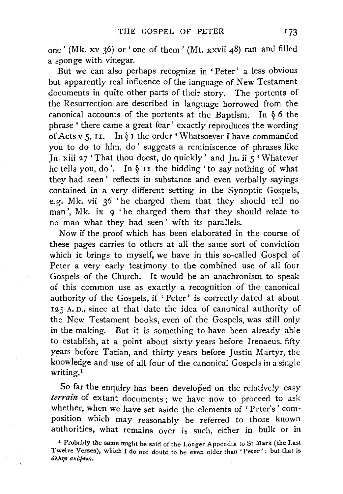one' (Mk. xv 36) or' one of them' (Mt. xxvii 48) ran and filled a sponge with vinegar.

But we can also perhaps recognize in ' Peter' a less obvious but apparently real influence of the language of New Testament documents in quite other parts of their story. The portents of the Resurrection are described in language borrowed from the canonical accounts of the portents at the Baptism. In § *6* the phrase ' there came a great fear' exactly reproduces the wording of Acts *v 5,* I I. In§ I the order 'Whatsoever I have commanded you to do to him, do' suggests a reminiscence of phrases like Jn. xiii *27* 'That thou doest, do quickly' and Jn. ii *5* 'Whatever he tells you, do'. In  $\S$  is the bidding 'to say nothing of what they had seen' reflects in substance and even verbally sayings contained in a very different setting in the Synoptic Gospels, e.g. Mk. vii 36 'he charged them that they should tell no man', Mk. ix 9 'he charged them that they should relate to no man what they had seen' with its parallels.

Now if the proof which has been elaborated in the course of these pages carries to others at all the same sort of conviction which it brings to myself, we have in this so-called Gospel of Peter a very early testimony to the combined use of all four Gospels of the Church. It would be an anachronism to speak of this common use as exactly a recognition of the canonical authority of the Gospels, if 'Peter' is correctly dated at about *125* A. D., since at that date the idea of canonical authority of the New Testament books, even of the Gospels, was still only in the making. But it is something to have been already able to establish, at a point about sixty years before lrenaeus, fifty years before Tatian, and thirty years before Justin Martyr, the knowledge and use of all four of the canonical Gospels in a single writing.1

So far the enquiry has been developed on the relatively easy *terrain* of extant documents; we have now to proceed to ask whether, when we have set aside the elements of 'Peter's' composition which may reasonably be referred to those known authorities, what remains over is such, either in bulk or in

<sup>1</sup> Probably the same might be said of the Longer Appendix to St Mark (the Last Twelve Verses), which I do not doubt to be even older than 'Peter'; but that is άλλης σκέψεως.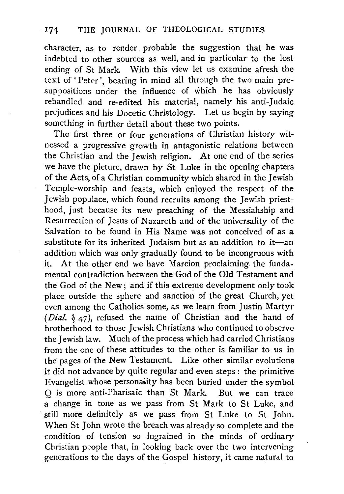character, as to render probable the suggestion that he was indebted to other sources as well, and in particular to the lost ending of St Mark. With this view let us examine afresh the text of' Peter', bearing in mind all through the two main presuppositions under the influence of which he has obviously rehandled and re-edited his material, namely his anti-Judaic prejudices and his Docetic Christology. Let us begin by saying something in further detail about these two points.

The first three or four generations of Christian history witnessed a progressive growth in antagonistic relations between the Christian and the Jewish religion. At one end of the series we have the picture, drawn by St Luke in the opening chapters of the Acts, of a Christian community which shared in the Jewish Temple-worship and feasts. which enjoyed the respect of the Jewish populace, which found recruits among the Jewish priesthood, just because its new preaching of the Messiahship and Resurrection of Jesus of Nazareth and of the universality of the Salvation to be found in His Name was not conceived of as a substitute for its inherited Judaism but as an addition to  $it$ —an addition which was only gradually found to be incongruous with it. At the other end we have Marcion proclaiming the fundamental contradiction between the God of the Old Testament and the God of the New; and if this extreme development only took place outside the sphere and sanction of the great Church, yet even among the Catholics some, as we learn from Justin Martyr *(Dial.* § 47), refused the name of Christian and the hand of brotherhood to those Jewish Christians who continued to observe the Jewish law. Much of the process which had carried Christians from the one of these attitudes to the other is familiar to us in the pages of the New Testament. Like other similar evolutions it did not advance by quite regular and even steps : the primitive Evangelist whose personality has been buried under the symbol Q is more anti-Pharisaic than St Mark. But we can trace a change in tone as we pass from St Mark to St Luke, and still more definitely as we pass from St Luke to St John. When St John wrote the breach was already so complete and the condition of tension so ingrained in the minds of ordinary Christian people that, in looking back over the two intervening generations to the days of the Gospel history, it came natural to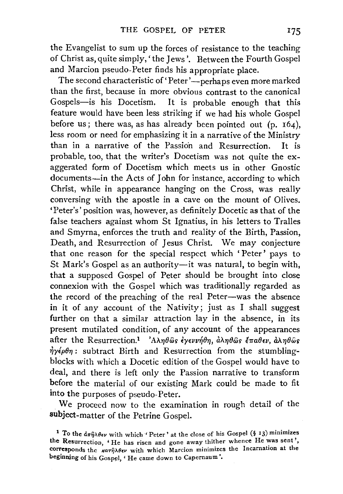the Evangelist to sum up the forces of resistance to the teaching of Christ as, quite simply,' the Jews'. Between the Fourth Gospel and Marcion pseudo-Peter finds his appropriate place.

The second characteristic of 'Peter'—perhaps even more marked than the first, because in more obvious contrast to the canonical Gospels-is his Docetism. It is probable enough that this feature would have been less striking if we had his whole Gospel before us; there was, as has already been pointed out  $(p. 164)$ , less room or need for emphasizing it in a narrative of the Ministry than in a narrative of the Passion and Resurrection. It is probable, too, that the writer's Docetism was not quite the exaggerated form of Docetism which meets us in other Gnostic documents-in the Acts of John for instance, according to which Christ, while in appearance hanging on the Cross, was really conversing with the apostle in a cave on the mount of Olives. 'Peter's' position was, however, as definitely Docetic as that of the false teachers against whom St Ignatius, in his letters to Tralles and Smyrna, enforces the truth and reality of the Birth, Passion, Death, and Resurrection of Jesus Christ. We may conjecture that one reason for the special respect which ' Peter' pays to St Mark's Gospel as an authority-it was natural, to begin with, that a supposed Gospel of Peter should be brought into dose connexion with the Gospel which was traditionally regarded as the record of the preaching of the real Peter-was the absence in it of any account of the Nativity; just as I shall suggest further on that a similar attraction lay in the absence, in its present mutilated condition, of any account of the appearances after the Resurrection.<sup>1</sup> 'A $\lambda \eta \theta \hat{\omega} s$  *ivevriby,*  $\hat{\omega} \lambda \eta \theta \hat{\omega} s$  *in*  $\hat{\omega} \eta \theta \hat{\omega} s$  $\eta y \epsilon \rho \theta \eta$ : subtract Birth and Resurrection from the stumblingblocks with which a Docetic edition of the Gospel would have to deal, and there is left only the Passion narrative to transform before the material of our existing Mark could be made to fit into the purposes of pseudo-Peter.

We proceed now to the examination in rough detail of the subject-matter of the Petrine Gospel.

<sup>&</sup>lt;sup>1</sup> To the  $d\pi\hat{\eta}\lambda\theta\epsilon\nu$  with which 'Peter' at the close of his Gospel (§ 13) minimizes the Resurrection, 'He has risen and gone away thither whence He was sent', corresponds the  $\kappa a \tau \hat{\eta} \lambda \theta \epsilon \nu$  with which Marcion minimizes the Incarnation at the beginning of his Gospel, ' He came down to Capernaum '.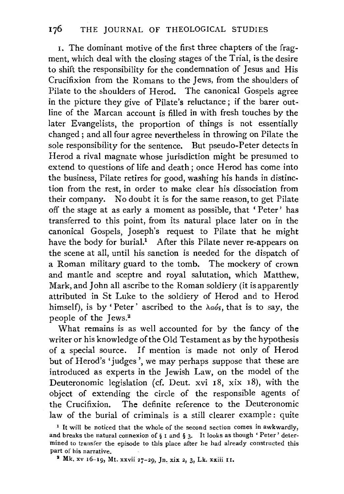I. The dominant motive of the first three chapters of the fragment, which deal with the closing stages of the Trial, is the desire to shift the responsibility for the condemnation of Jesus and His Crucifixion from the Romans to the Jews, from the shoulders of Pilate to the shoulders of Herod. The canonical Gospels agree in the picture they give of Pilate's reluctance; if the barer outline of the Marcan account is filled in with fresh touches by the later Evangelists, the proportion of things is not essentially changed ; and all four agree nevertheless in throwing on Pilate the sole responsibility for the sentence. But pseudo-Peter detects in Herod a rival magnate whose jurisdiction might be presumed to extend to questions of life and death; once Herod has come into the business, Pilate retires for good, washing his hands in distinction from the rest, in order to make clear his dissociation from their company. No doubt it is for the same reason, to get Pilate off the stage at as early a moment as possible, that ' Peter' has transferred to this point, from its natural place later on in the canonical Gospels, Joseph's request to Pilate that he might have the body for burial.<sup>1</sup> After this Pilate never re-appears on the scene at all, until his sanction is needed for the dispatch of a Roman military guard to the tomb. The mockery of crown and mantle and sceptre and royal salutation, which Matthew, Mark, and John all ascribe to the Roman soldiery (it is apparently attributed in St Luke to the soldiery of Herod and to Herod himself), is by 'Peter' ascribed to the  $\lambda \omega_0$ 's, that is to say, the people of the Jews.<sup>2</sup>

What remains is as well accounted for by the fancy of the writer or his knowledge of the Old Testament as by the hypothesis of a special source. If mention is made not only of Herod but of Herod's' judges', we may perhaps suppose that these are introduced as experts in the Jewish Law, on the model of the Deuteronomic legislation (cf. Deut. xvi 18, xix 18), with the object of extending the circle of the responsible agents of the Crucifixion. The definite reference to the Deuteronomic law of the burial of criminals is a still clearer example: quite

<sup>&</sup>lt;sup>1</sup> It will be noticed that the whole of the second section comes in awkwardly, and breaks the natural connexion of  $\S$  I and  $\S$  3. It looks as though 'Peter' determined to transfer the episode to this place after he had already constructed this part of his narrative.

<sup>1</sup> Mk. xv 16-19, Mt. xxvii 27-29, Jn, xix 2, 3, Lk. xxiii II.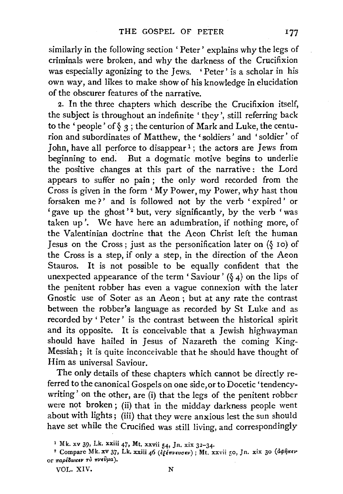similarly in the following section ' Peter' explains why the legs of criminals were broken, and why the darkness of the Crucifixion was especially agonizing to the Jews. 'Peter' is a scholar in his own way, and likes to make show of his knowledge in elucidation of the obscurer features of the narrative.

2. In the three chapters which describe the Crucifixion itself, the subject is throughout an indefinite 'they', still referring back to the 'people' of  $\sqrt[6]{3}$ ; the centurion of Mark and Luke, the centurion and subordinates of Matthew, the' soldiers' and 'soldier' of John, have all perforce to disappear<sup>1</sup>; the actors are Jews from beginning to end: But a dogmatic motive begins to underlie the positive changes at this part of the narrative : the Lord appears to suffer no pain ; the only word recorded from the Cross is given in the form 'My Power, my Power, why hast thou forsaken me?' and is followed not by the verb 'expired' or 'gave up the ghost'<sup>2</sup> but, very significantly, by the verb 'was taken up'. We have here an adumbration, if nothing more, of the Valentinian doctrine that the Aeon Christ left the human Jesus on the Cross; just as the personification later on  $(\S$  10) of the Cross is a step, if only a step, in the direction of the Aeon Stauros. It is not possible to be equally confident that the unexpected appearance of the term 'Saviour' ( $\delta$  4) on the lips of the penitent robber has even a vague connexion with the later Gnostic use of Soter as an Aeon ; but at any rate the contrast between the robber's language as recorded by St Luke and as recorded by ' Peter' is the contrast between the historical spirit and its opposite. It is conceivable that a Jewish highwayman should have hailed in Jesus of Nazareth the coming King-Messiah; it is quite inconceivable that he should have thought of Him as universal Saviour.

The only details of these chapters which cannot be directly referred to the canonical Gospels on one side,or to Docetic 'tendencywriting' on the other, are (i) that the legs of the penitent robber were not broken ; (ii) that in the midday darkness people went about with lights; (iii) that they were anxious lest the sun should have set while the Crucified was still living, and correspondingly

<sup>I</sup>Mk. xv 39, Lk. xxiii *47,* Mt. xxvii 54, Jn, xix 32-34. 2 Compare Mk. xv 37, Lk. xxiii *46 (i(brvwa•v);* Mt. xxvii 50, Jn. xix 30 *(O..pfjt<w*  **or** *Trapl8w«EV TO* **7TJIEVp.a** ).

VOL. XIV. N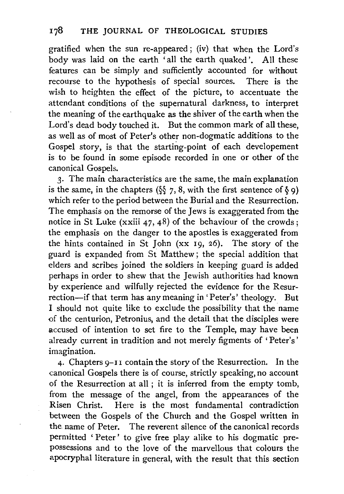gratified when the sun re-appeared; (iv) that when the Lord's body was laid on the earth 'all the earth quaked'. All these features can be simply and sufficiently accounted for without recourse to the hypothesis of special sources. There is the wish to heighten the effect of the picture, to accentuate the attendant conditions of the supernatural darkness, to interpret the meaning of the earthquake as the shiver of the earth when the Lord's dead body touched it. But the common mark of all these, as well as of most of Peter's other non-dogmatic additions to the Gospel story, is that the starting-point of each developement is to be found in some episode recorded in one or other of the canonical Gospels.

3· The main characteristics are the same, the main explanation is the same, in the chapters ( $\S$ , 8, with the first sentence of  $\S$  9) which refer to the period between the Burial and the Resurrection. The emphasis on the remorse of the Jews is exaggerated from the notice in St Luke (xxiii 47, 48) of the behaviour of the crowds; the emphasis on the danger to the apostles is exaggerated from the hints contained in St John (xx 19, 26). The story of the guard is expanded from St Matthew; the special addition that elders and scribes joined the soldiers in keeping guard is added perhaps in order to shew that the Jewish authorities had known by experience and wilfully rejected the evidence for the Resurrection-if that term has any meaning in 'Peter's' theology. But I should not quite like to exclude the possibility that the name of the centurion, Petronius, and the detail that the disciples were accused of intention to set fire to the Temple, may have been already current in tradition and not merely figments of 'Peter's' imagination.

4· Chapters 9-1 I contain the story of the Resurrection. In the canonical Gospels there is of course, strictly speaking, no account of the Resurrection at all ; it is inferred from the empty tomb, from the message of the angel, from the appearances of the Risen Christ. Here is the most fundamental contradiction between the Gospels of the Church and the Gospel written in the name of Peter. The reverent silence of the canonical records permitted ' Peter' to give free play alike to his dogmatic prepossessions and to the love of the marvellous that colours the apocryphal literature in general, with the result that this section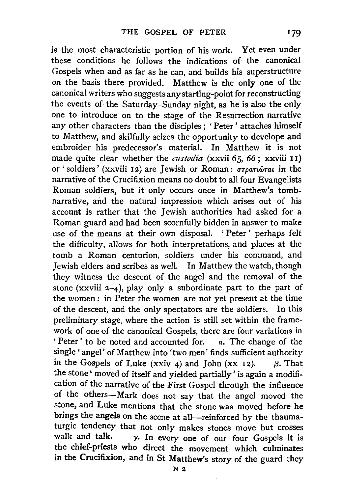is the most characteristic portion of his work. Yet even under these conditions he follows the indications of the canonical Gospels when and as far as he can, and builds his superstructure on the basis there provided. Matthew is the only one of the canonical writers who suggests any starting-point for reconstructing the events of the Saturday-Sunday night, as he is also the only one to introduce on to the stage of the Resurrection narrative any other characters than the disciples; 'Peter' attaches himself to Matthew, and skilfully seizes the opportunity to develope and embroider his predecessor's material. In Matthew it is not made quite clear whether the *custodia* (xxvii 65, *66;* xxviii 1 1) or ' soldiers' (xxviii 12) are Jewish or Roman:  $\sigma\tau\rho$ ariorai in the narrative of the Crucifixion means no doubt to all four Evangelists Roman soldiers, but it only occurs once in Matthew's tombnarrative, and the natural impression which arises out of his account is rather that the Jewish authorities had asked for a Roman guard and had been scornfully bidden in answer to make use of the means at their own disposal. ' Peter ' perhaps felt the difficulty, allows for both interpretations, and places at the tomb a Roman centurion, soldiers under his command, and Jewish elders and scribes as well. In Matthew the watch, though they witness the descent of the angel and the removal of the stone (xxviii  $2-4$ ), play only a subordinate part to the part of the women : in Peter the women are not yet present at the time of the descent, and the only spectators are the soldiers. In this preliminary stage, where the action is still set within the framework of one of the canonical Gospels, there are four variations in ' Peter ' to be noted and accounted for. *a.* The change of the single' angel' of Matthew into 'two men' finds sufficient authority in the Gospels of Luke (xxiv 4) and John (xx 12).  $\beta$ . That the stone' moved of itself and yielded partially' is again a modification of the narrative of the First Gospel through the influence of the others-Mark does not say that the angel moved the stone, and Luke mentions that the stone was moved before he brings the angels on the scene at all-reinforced by the thaumaturgic tendency that not only makes stones move but crosses walk and talk.  $\gamma$ . In every one of our four Gospels it is the chief-priests who direct the movement which culminates in the Crucifixion, and in St Matthew's story of the guard they

 $N<sub>2</sub>$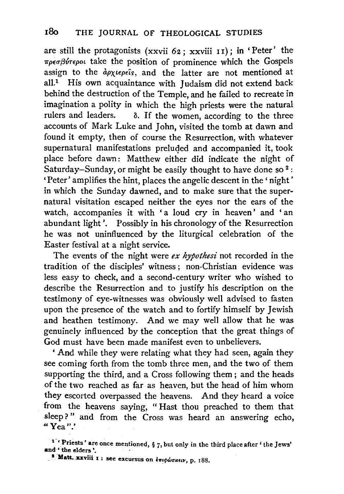are still the protagonists (xxvii  $62$ ; xxviii 11); in 'Peter' the *-rrpeuf'vrepo£* take the position of prominence which the Gospels assign to the  $\partial \rho \chi$ <sup>ight</sup>s, and the latter are not mentioned at all.<sup>1</sup> His own acquaintance with Judaism did not extend back behind the destruction of the Temple, and he failed to recreate in imagination a polity in which the high priests were the natural rulers and leaders.  $\delta$ . If the women according to the three  $\delta$ . If the women, according to the three accounts of Mark Luke and John, visited the tomb at dawn and found it empty, then of course the Resurrection, with whatever supernatural manifestations preluded and accompanied it, took place before dawn: Matthew either did indicate the night of Saturday-Sunday, or might be easily thought to have done so  $2$ : 'Peter' amplifies the hint, places the angelic descent in the 'night' in which the Sunday dawned, and to make sure that the supernatural visitation escaped neither the eyes nor the ears of the watch, accompanies it with 'a loud cry in heaven' and 'an abundant light '. Possibly in his chronology of the Resurrection he was not uninfluenced by the liturgical celebration of the Easter festival at a night service.

The events of the night were *ex hypothesi* not recorded in the tradition of the disciples' witness ; non-Christian evidence was less easy to check, and a second-century writer who wished to describe the Resurrection and to justify his description on the testimony of eye-witnesses was obviously well advised to fasten upon the presence of the watch and to fortify himself by Jewish and heathen testimony. And we may well allow that he was genuinely influenced by the conception that the great things of God must have been made manifest even to unbelievers.

' And while they were relating what they had seen, again they see coming forth from the tomb three men, and the two of them supporting the third, and a Cross following them ; and the heads of the two reached as far as heaven, but the head of him whom they escorted overpassed the heavens. And they heard a voice from the heavens saying, " Hast thou preached to them that sleep?" and from the Cross was heard an answering echo, ·"Yea".'

<sup>&</sup>lt;sup>1</sup> Priests' are once mentioned,  $\S$  7, but only in the third place after 'the Jews' and **the elders'.** 

<sup>&</sup>lt;sup>2</sup>. Matt. xxviii I : see excursus on *επιφώσκειν*, p. 188.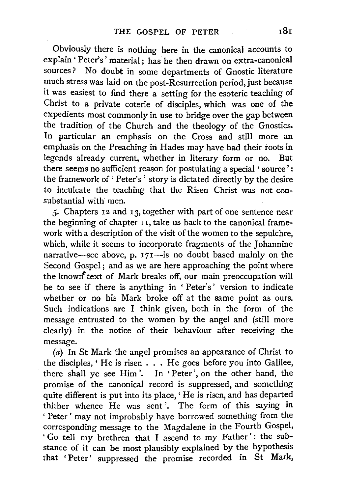Obviously there is nothing here in the canonical accounts to explain ' Peter's' material; has he then drawn on extra-canonical sources ? No doubt in some departments of Gnostic literature much stress was laid on the post-Resurrection period, just because it was easiest to find there a setting for the esoteric teaching of Christ to a private coterie of disciples, which was one of the expedients most commonly in use to bridge over the gap between the tradition of the Church and the theology of the Gnostics. In particular an emphasis on the Cross and still more an emphasis on the Preaching in Hades may have had their roots in legends already current, whether in literary form or no. But there seems no sufficient reason for postulating a special ' source' : the framework of' Peter's' story is dictated directly by the desire to inculcate the teaching that the Risen Christ was not consubstantial with men.

*5·* Chapters 12 and 13, together with part of one sentence near the beginning of chapter  $\overrightarrow{11}$ , take us back to the canonical framework with a description of the visit of the women to the sepulchre, which, while it seems to incorporate fragments of the Johannine narrative-see above, p.  $171$ -is no doubt based mainly on the Second Gospel; and as we are here approaching the point where the known<sup>5</sup> text of Mark breaks off, our main preoccupation will be to see if there is anything in ' Peter's' version to indicate whether or no his Mark broke off at the same point as ours. Such indications are I think given, both in the form of the message entrusted to the women by the angel and (still more clearly) in the notice of their behaviour after receiving the message.

(a) In St Mark the angel promises an appearance of Christ to the disciples, ' He is risen . . . He goes before you into Galilee, there shall ye see Him'. In 'Peter', on the other hand, the promise of the canonical record is suppressed, and something quite different is put into its place, ' He is risen, and has departed thither whence He was sent '. The form of this saying in ' Peter' may not improbably have borrowed something from the corresponding message to the Magdalene in the Fourth Gospel, 'Go tell my brethren that I ascend to my Father': the substance of it can be most plausibly explained by the hypothesis that ' Peter ' suppressed the promise recorded in St Mark,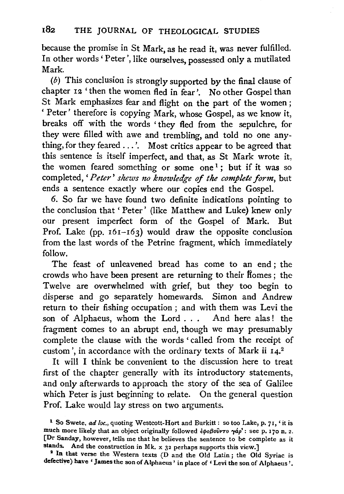because the promise in St Mark, as he read it, was never fulfilled. In other words' Peter', like ourselves, possessed only a mutilated Mark

 $(b)$  This conclusion is strongly supported by the final clause of chapter 12 'then the women fled in fear'. No other Gospel than St Mark emphasizes fear and flight on the part of the women ; ' Peter' therefore is copying Mark, whose Gospel, as we know it, breaks off with the words 'they fled from the sepulchre, for they were filled with awe and trembling, and told no one anything, for they feared ...'. Most critics appear to be agreed that this sentence is itself imperfect, and that, as St Mark wrote it, the women feared something or some one<sup>1</sup>; but if it was so completed, *'Peter' shews no knowledge of tke complete form,* but ends a sentence exactly where our copies end the Gospel.

6. So far we have found two definite indications pointing to the conclusion that ' Peter' (like Matthew and Luke) knew only our present imperfect form of the Gospel of Mark. But Prof. Lake (pp.  $161-163$ ) would draw the opposite conclusion from the last words of the Petrine fragment, which immediately follow.

The feast of unleavened bread has come to an end ; the crowds who have been present are returning to their ffomes ; the Twelve are overwhelmed with grief, but they too begin to disperse and go separately homewards. Simon and Andrew return to their fishing occupation ; and with them was Levi the son of Alphaeus, whom the Lord . . . And here alas! the fragment comes to an abrupt end, though we may presumably complete the clause with the words 'called from the receipt of custom', in accordance with the ordinary texts of Mark ii 14.2

It will I think be convenient to the discussion here to treat first of the chapter generally with its introductory statements, and only afterwards to approach the story of the sea of Galilee which Peter is just beginning to relate. On the general question Prof. Lake would lay stress on two arguments.

<sup>1</sup> So Swete, *ad loc.,* quoting Westcott-Hort and Burkitt : so too Lake, p. *7* I, 'it is much more likely that an object originally followed  $\frac{\partial \phi}{\partial \theta}$  ( $\frac{\partial \phi}{\partial \theta}$ ): see p. 170 n. 2. [Dr Sanday, however, tells me that he believes the sentence to be complete as it stands. And the construction in Mk. x 32 perhaps supports this view.]

<sup>&</sup>lt;sup>2</sup> In that verse the Western texts (D and the Old Latin; the Old Syriac is defective) have 'James the son of Alphaeus' in place of 'Levi the son of Alphaeus '.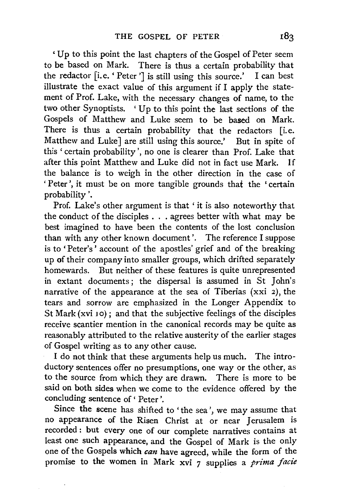' Up to this point the last chapters of the Gospel of Peter seem to be based on Mark. There is thus a certain probability that the redactor [i.e. ' Peter '] is still using this source.' I can best illustrate the exact value of this argument if I apply the statement of Prof. Lake, with the necessary changes of name, to the two other Synoptists. ' Up to this point the last sections of the Gospels of Matthew and Luke seem to be based on Mark. There is thus a certain probability that the redactors [i.e. Matthew and Luke] are still using this source.' But in spite of this ' certain probability ', no one is clearer than Prof. Lake that after this point Matthew and Luke did not in fact use Mark. If the balance is to weigh in the other direction in the case of ' Peter', it must be on more tangible grounds that the 'certain probability '.

Prof. Lake's other argument is that 'it is also noteworthy that the conduct of the disciples . . . agrees better with what may be best imagined to have been the contents of the lost conclusion than with any other known document'. The reference I suppose is to' Peter's' account of the apostles' grief and of the breaking up of their company into smaller groups, which drifted separately homewards. But neither of these features is quite unrepresented in extant documents; the dispersal is assumed in St John's narrative of the appearance at the sea of Tiberias (xxi 2), the tears and sorrow are emphasized in the Longer Appendix to St Mark (xvi 10); and that the subjective feelings of the disciples receive scantier mention in the canonical records may be quite as reasonably attributed to the relative austerity of the earlier stages of Gospel writing as to any other cause.

I do not think that these arguments help us much. The introductory sentences offer no presumptions, one way or the other, as to the source from which they are drawn. There is more to be said on both sides when we come to the evidence offered by the concluding sentence of' Peter'.

Since the scene has shifted to' the sea', we may assume that no appearance of the Risen Christ at or near Jerusalem is recorded: but every one of our complete narratives contains at least one such appearance, and the Gospel of Mark is the only one of the Gospels which can have agreed, while the form of the promise to the women in Mark xvi 7 supplies a *prima fade*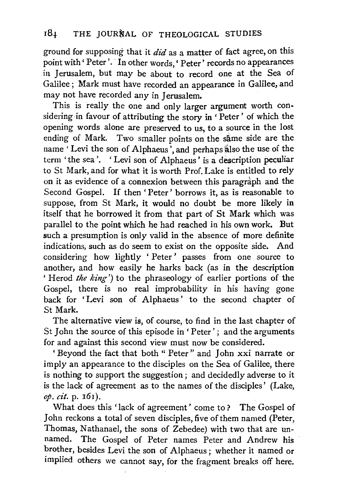ground for supposing that it  $did$  as a matter of fact agree, on this point with ' Peter'. In other words, ' Peter' records no appearances in Jerusalem, but may be about to record one at the Sea of Galilee; Mark must have recorded an appearance in Galilee, and may not have recorded any in Jerusalem.

This is really the one and only larger argument worth considering in favour of attributing the story in ' Peter' of which the opening words alone are preserved to us, to a source in the lost ending of Mark. Two smaller points on the same side are the name 'Levi the son of Alphaeus', and perhaps also the use of the term 'the sea'. 'Levi son of Alphaeus' is a description peculiar to St Mark, and for what it is worth Prof. Lake is entitled to rely on it as evidence of a connexion between this paragraph and the Second Gospel. If then 'Peter' borrows it, as is reasonable to suppose, from St Mark, it would no doubt be more likely in itself that he borrowed it from that part of St Mark which was parallel to the point which he had reached in his own work. But such a presumption is only valid in the absence of more definite indications, such as do seem to exist on the opposite side. And considering how lightly 'Peter' passes from one source to another, and how easily he harks back (as in the description ' Herod *the king')* to the phraseology of earlier portions of the Gospel, there is no real improbability in his having gone back for 'Levi son of Alphaeus' to the second chapter of St Mark.

The alternative view is, of course, to find in the last chapter of St John the source of this episode in ' Peter' ; and the arguments for and against this second view must now be considered.

' Beyond the fact that both " Peter " and John xxi narrate or imply an appearance to the disciples on the Sea of Galilee, there is nothing to support the suggestion ; and decidedly adverse to it is the lack of agreement as to the names of the disciples' (Lake, *op. cit.* p. I6I).

What does this 'lack of agreement' come to? The Gospel of John reckons a total of seven disciples, five of them named (Peter, Thomas, Nathanael, the sons of Zebedee) with two that are unnamed. The Gospel of Peter names Peter and Andrew his brother, besides Levi the son of Alphaeus; whether it named or implied others we cannot say, for the fragment breaks off here.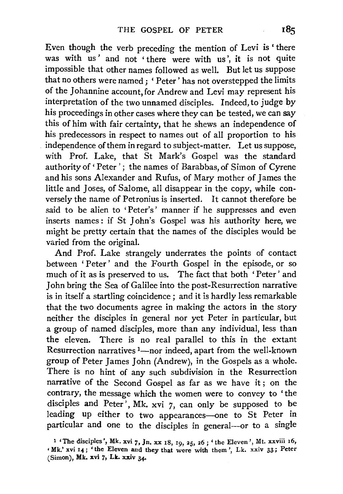Even though the verb preceding the mention of Levi is ' there was with us' and not 'there were with us', it is not quite impossible that other names followed as well. But let us suppose that no others were named; 'Peter' has not overstepped the limits of the Johannine account, for Andrew and Levi may represent his interpretation of the two unnamed disciples. Indeed, to judge by his proceedings in other cases where they can be tested, we can say this of him with fair certainty, that he shews an independence of his predecessors in respect to names out of all proportion to his independence of them in regard to subject-matter. Let us suppose, with Prof. Lake, that St Mark's Gospel was the standard authority of 'Peter'; the names of Barabbas, of Simon of Cyrene and his sons Alexander and Rufus, of Mary mother of James the little and Joses, of Salome, all disappear in the copy, while conversely the name of Petronius is inserted. It cannot therefore be said to be alien to 'Peter's' manner if he suppresses and even inserts names: if St John's Gospel was his authority here, we might be pretty certain that the names of the disciples would be varied from the original.

And Prof. Lake strangely underrates the points of contact between ' Peter' and the Fourth Gospel in the episode, or so much of it as is preserved to us. The fact that both 'Peter' and John bring the Sea of Galilee into the post-Resurrection narrative is in itself a startling coincidence ; and it is hardly less remarkable that the two documents agree in making the actors in the story neither the disciples in general nor yet Peter in particular, but a group of named disciples, more than any individual, less than the eleven. There is no real parallel to this in the extant Resurrection narratives <sup>1</sup>-nor indeed, apart from the well-known group of Peter James John (Andrew), in the Gospels as a whole. There is no hint of any such subdivision in the Resurrection narrative of the Second Gospel as far as we have it; on the contrary, the message which the women were to convey to 'the disciples and Peter', Mk. xvi *7,* can only be supposed to be leading up either to two appearances-one to St Peter in particular and one to the disciples in general-or to a single

<sup>&</sup>lt;sup>1</sup> 'The disciples', Mk. xvi 7, Jn. xx 18, 19, 25, 26; 'the Eleven', Mt. xxviii 16,<br>Mk' xvi 14: 'the Eleven and they that were with them' Lk. xxiv 33; Peter (Simon), Mk. xvi *'],* Lk. xxiv 34·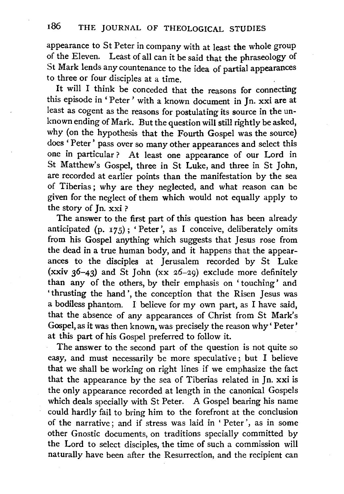appearance to St Peter in company with at least the whole group of the Eleven. Least of all can it be said that the phraseology of St Mark lends any countenance to the idea of partial appearances to three or four disciples at a time.

It will I think be conceded that the reasons for connecting this episode in 'Peter' with a known document in Jn. xxi are at least as cogent as the reasons for postulating its source in the unknown ending of Mark. But the question will still rightly be asked, why (on the hypothesis that the Fourth Gospel was the source) does ' Peter' pass over so many other appearances and select this one in particular? At least one appearance of our Lord in St Matthew's Gospel, three in St Luke, and three in St John, are recorded at earlier points than the manifestation by the sea of Tiberias; why are they neglected, and what reason can be given for the neglect of them which would not equally apply to the story of  $\ln$  xxi?

The answer to the first part of this question has been already anticipated (p. 175); 'Peter', as I conceive, deliberately omits from his Gospel anything which suggests that Jesus rose from the dead in a true human body, and it happens that the appearances to the disciples at Jerusalem recorded by St Luke (xxiv  $36-43$ ) and St John (xx 26-29) exclude more definitely than any of the others, by their emphasis on ' touching' and ' thrusting the hand ', the conception that the Risen Jesus was a bodiless phantom. I believe for my own part, as I have said, that the absence of any appearances of Christ from St Mark's Gospel, as it was then known, was precisely the reason why' Peter' at this part of his Gospel preferred to follow it.

The answer to the second part of the question is not quite so easy, and must necessarily be more speculative; but I believe that we shall be working on right lines if we emphasize the fact that the appearance by the sea of Tiberias related in Jn. xxi is the only appearance recorded at length in the canonical Gospels which deals specially with St Peter. A Gospel bearing his name could hardly fail to bring him to the forefront at the conclusion of the narrative; and if stress was laid in ' Peter', as in some other Gnostic documents, on traditions specially committed by the Lord to select disciples, the time of such a commission will naturally have been after the Resurrection, and the recipient can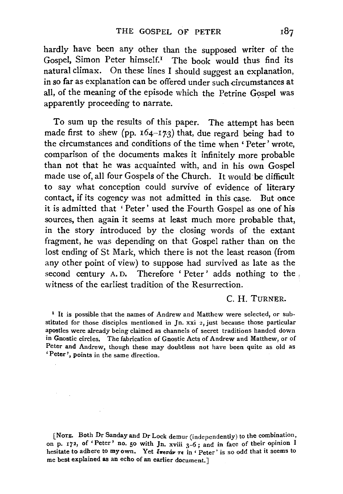hardly have been any other than the supposed writer of the Gospel, Simon Peter himself.! The book would thus find its natural climax. On these lines I should suggest an explanation, in so far as explanation can be offered under such circumstances at all, of the meaning of the episode which the Petrine Gospel was apparently proceeding to narrate.

To sum up the results of this paper. The attempt has been made first to shew (pp.  $164-173$ ) that, due regard being had to the circumstances and conditions of the time when ' Peter' wrote, comparison of the documents makes it infinitely more probable than not that he was acquainted with, and in his own Gospel made use of, all four Gospels of the Church. It would be difficult to say what conception could survive of evidence of literary contact, if its cogency was not admitted in this case. But once it is admitted that 'Peter' used the Fourth Gospel as one of his sources, then again it seems at least much more probable that, in the story introduced by the closing words of the extant fragment, he was depending on that Gospel rather than on the lost ending of St Mark, which there is not the least reason (from any other point of view) to suppose had survived as late as the second century A.D. Therefore 'Peter' adds nothing to the witness of the earliest tradition of the Resurrection.

### C. H. TURNER.

<sup>1</sup> It is possible that the names of Andrew and Matthew were selected, or substituted for those disciples mentioned in Jn. xxi 2, just because those particular apostles were already being claimed as channels of secret traditions handed down in Gnostic circles. The fabrication of Gnostic Acts of Andrew and Matthew, or of Peter and Andrew, though these may doubtless not have been quite as old as 'Peter', points in the same direction.

[NoTE. Both Dr Sanday and Dr Lock demur (independently) to the combination, on p. 172, of 'Peter' no. 50 with Jn. xviii  $3-6$ ; and in face of their opinion I hesitate to adhere to my own. Yet  $\epsilon_{\text{mech}}$  re in 'Peter' is so odd that it seems to me best explained as an echo of an earlier document.]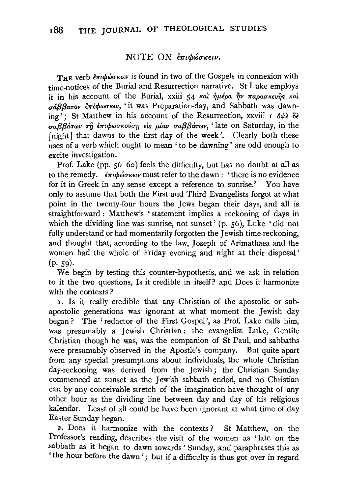## NOTE ON επιφώσκειν.

THE verb επιφώσκειν is found in two of the Gospels in connexion with time-notices of the Burial and Resurrection narrative. St Luke employs it in his account of the Burial, xxiii 54 και ήμέρα ην παρασκευής και  $\sigma$ άββατον έπέφωσκεν, 'it was Preparation-day, and Sabbath was dawning': St Matthew in his account of the Resurrection, xxviii r  $\partial \psi$   $\delta \xi$ *σαββάτων τη επιφωσκούση είς μίαν σαββάτων*, 'late on Saturday, in the [night] that dawns to the first day of the week'. Clearly both these uses of a verb which ought to mean ' to be dawning' are odd enough to excite investigation.

Prof. Lake (pp. 56-6o) feels the difficulty, but has no doubt at all as to the remedy.  $\epsilon \pi \psi_0$  *επιστή διατι*μωτεία *dawn*: 'there is no evidence for it in Greek in any sense except a reference to sunrise.' You have only to assume that both the First and Third Evangelists forgot at what point in the twenty-four hours the Jews began their days, and all is straightforward : Matthew's ' statement implies a reckoning of days in which the dividing line was sunrise, not sunset' (p. 56), Luke 'did not fully understand or had momentarily forgotten the Jewish time-reckoning, and thought that, according to the law, Joseph of Arimathaea and the women had the whole of Friday evening and night at their disposal'  $(p. 59)$ .

We begin by testing this counter-hypothesis, and we ask in relation to it the two questions, Is it credible in itself? apd Does it harmonize with the contexts?

I. Is it really credible that any Christian of the apostolic or subapostolic generations was ignorant at what moment the Jewish day began? The 'redactor of the First Gospel', as Prof. Lake calls him, was presumably a Jewish Christian: the evangelist Luke, Gentile Christian though he was, was the companion of St Paul, and sabbaths were presumably observed in the Apostle's company. But quite apart from any special presumptions about individuals, the whole Christian day-reckoning was derived from the Jewish; the Christian Sunday commenced at sunset as the Jewish sabbath ended, and no Christian can by any conceivable stretch of the imagination have thought of any other hour as the dividing line between day and day of his religious kalendar. Least of all could he have been ignorant at what time of day Easter Sunday began.

2. Does it harmonize with the contexts? St Matthew, on the Professor's reading, describes the visit of the women as 'late on the sabbath as it began to dawn towards' Sunday, and paraphrases this as 'the hour before the dawn'; but if a difficulty is thus got over in regard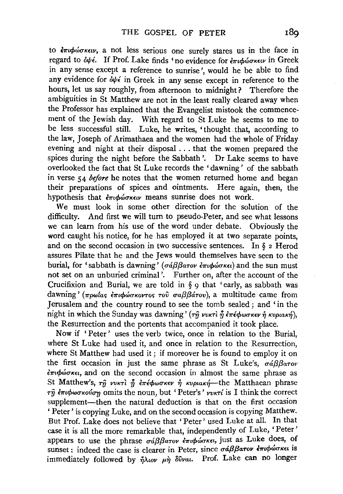to επιφώσκειν, a not less serious one surely stares us in the face in regard to όψέ. If Prof. Lake finds 'no evidence for επιφώσκειν in Greek in any sense except a reference to sunrise', would he be able to find any evidence for  $\partial \psi \epsilon$  in Greek in any sense except in reference to the hours, let us say roughly, from afternoon to midnight? Therefore the ambiguities in St Matthew are not in the least really cleared away when the Professor has explained that the Evangelist mistook the commencement of the Jewish day. With regard to St Luke he seems to me to be less successful still. Luke, he writes, 'thought that, according to the law, Joseph of Arimathaea and the women had the whole of Friday evening and night at their disposal ... that the women prepared the spices during the night before the Sabbath'. Dr Lake seems to have overlooked the fact that St Luke records the 'dawning' of the sabbath in verse 54 *before* he notes that the women returned home and began their preparations of spices and ointments. Here again, then, the hypothesis that *επιφώσκειν* means sunrise does not work.

We must look in some other direction for the solution of the difficulty. And first we will turn to pseudo-Peter, and see what lessons we can learn from his use of the word under debate. Obviously the word caught his notice, for he has employed it at two separate points, and on the second occasion in two successive sentences. In § 2 Herod assures Pilate that he and the Jews would themselves have seen to the burial, for 'sabbath is dawning' (σάββατον επιφώσκει) and the sun must not set on an unburied criminal'. Further on, after the account of the Crucifixion and Burial, we are told in § 9 that 'early, as sabbath was dawning' (πρωΐας επιφώσκοντος του σαββάτου), a multitude came from Jerusalem and the country round to see the tomb sealed; and 'in the night in which the Sunday was dawning' (τη νυκτι ή επέφωσκεν ή κυριακή), the Resurrection and the portents that accompanied it took place.

Now if 'Peter' uses the verb twice, once in relation to the Burial, where St Luke had used it, and once in relation to the Resurrection, where St Matthew had used it ; if moreover he is found to employ it on the first occasion in just the same phrase as St Luke's,  $\sigma d\beta\beta a\tau o\nu$  $\epsilon \pi \phi$ ώσκει, and on the second occasion in almost the same phrase as St Matthew's, τη νυκτί η επέφωσκεν ή κυριακή—the Matthaean phrase  $\tau$ η επιφωσκούση omits the noun, but 'Peter's' νυκτί is I think the correct supplement-then the natural deduction is that on the first occasion ' Peter' is copying Luke, and on the second occasion is copying Matthew. But Prof. Lake does not believe that ' Peter' used Luke at all. In that case it is all the more remarkable that, independently of Luke, 'Peter' appears to use the phrase σάββατον επιφώσκει, just as Luke does, of sunset: indeed the case is clearer in Peter, since σάββατον επιφώσκει is immediately followed by  $\tilde{\eta}\lambda$ ww  $\mu\tilde{\eta}$  8vval. Prof. Lake can no longer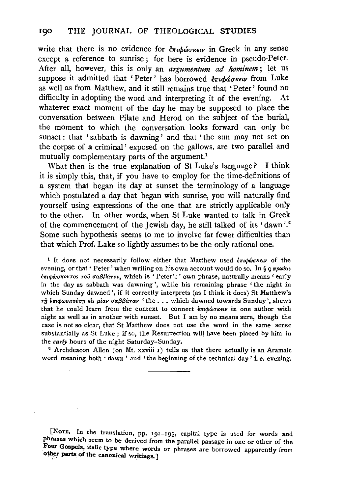write that there is no evidence for  $\epsilon \pi \iota \phi \omega \sigma \kappa \epsilon \iota \nu$  in Greek in any sense except a reference to sunrise; for here is evidence in pseudo-Peter. After all, however, this is only an *argumenlum* ad *hominem;* let us suppose it admitted that 'Peter' has borrowed  $\epsilon_{\pi\iota\phi\omega\sigma\kappa\epsilon\nu}$  from Luke as well as from Matthew, and it still remains true that 'Peter' found no difficulty in adopting the word and interpreting it of the evening. At whatever exact moment of the day he may be supposed to place the conversation between Pilate and Herod on the subject of the burial, the moment to which the conversation looks forward can only be sunset: that 'sabbath is dawning' and that 'the sun may not set on the corpse of a criminal' exposed on the gallows, are two parallel and mutually complementary parts of the argument.<sup>1</sup>

What then is the true explanation of St Luke's language? I think it is simply this, that, if you have to employ for the time-definitions of a system that began its day at sunset the terminology of a language which postulated a day that began with sunrise, you will naturally find yourself using expressions of the one that are strictly applicable only to the other. In other words, when St Luke wanted to talk in Greek of the commencement of the Jewish day, he still talked of its 'dawn '.2 Some such hypothesis seems to me to involve far fewer difficulties than that which Prof. Lake so lightly assumes to be the only rational one.

<sup>1</sup> It does not necessarily follow either that Matthew used  $\epsilon \pi \iota \phi \omega \sigma \kappa \epsilon \iota \nu$  of the evening, or that ' Peter' when writing on his own account would do so. In §  $\alpha \pi \rho \omega \tau$  as επιφώσκοντος του σαββάτου, which is 'Peter's' own phrase, naturally means 'early in the day as sabbath was dawning', while his remaining phrase ' the night in which Sunday dawned', if it correctly interprets (as I think it does) St Matthew's  $τ\hat{n}$  επιφωσκούση είs μίαν σαββάτων 'the ... which dawned towards Sunday', shews that he could learn from the context to connect  $\frac{1}{2}$   $\frac{1}{2}$   $\frac{1}{2}$  (which with night as well as in another with sunset. But I am by no means sure, though the case is not so clear, that St Matthew does not use the word in the same sense substantially as St Luke ; if so, the Resurrection will have been placed by him in the *early* hours of the night Saturday-Sunday.

<sup>2</sup> Archdeacon Allen (on Mt. xxviii  $I$ ) tells us that there actually is an Aramaic word meaning both ' dawn ' and 'the beginning of the technical day' i. e. evening.

[NoTE. In the translation, pp. 191-195, capital type is used for words and phrases which seem to be derived from the parallel passage in one or other of the Four Gospels, italic type where words or phrases are borrowed apparently from other parts of the canonical writings.]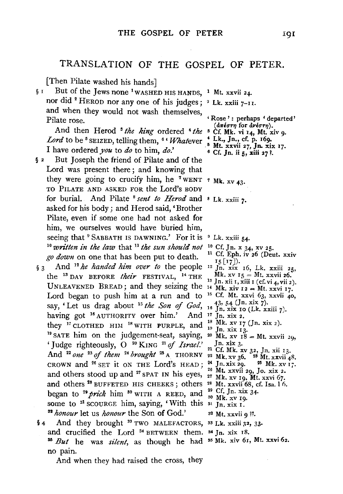# TRANSLATION OF THE GOSPEL OF PETER.

[Then Pilate washed his hands]

§ I But of the Jews none <sup>1</sup>WASHED HIS HANDS, <sup>1</sup> Mt. xxvii 24. nor did <sup>2</sup> HEROD nor any one of his judges; <sup>2</sup> Lk. xxiii  $7-11$ . and when they would not wash themselves,

Pilate rose.<br>
And then Herod <sup>3</sup> *the king* ordered <sup>4</sup> *the* <sup>3</sup> Cf. Mk. vi 14, Mt. xiv 9.<br> *Lord* to be <sup>5</sup> SEIZED. telling them. <sup>6</sup> ' Whatever <sup>4</sup> Lk., Jn., cf. p. 169. Lord to be <sup>5</sup> SEIZED, telling them, <sup>6</sup> 'Whatever  $\frac{1}{5}$  Lk., Jn., cf. p. 169.<br>I have ordered *you* to *do* to him, *do*.' <sup>8</sup> Mt. xxvii 27, Jn. xix 17.<br>§ 2 But Joseph the friend of Pilate and of the

- Lord was present there ; and knowing that hey were going to crucify him, he <sup>7</sup> WENT  $\tau$  Mk. xv 43. TO PILATE AND ASKED FOR the Lord's BODY for burial. And Pilate 8 *sent to Herod* and 8 Lk. xxiii *7•*  asked for his body; and Herod said, 'Brother Pilate, even if some one had not asked for him, we ourselves would have buried him, seeing that <sup>9</sup> SABBATH IS DAWNING.' For it is <sup>9</sup> Lk. xxiii 54.<br>
<sup>0</sup> written in the law that <sup>11</sup> the sun should not <sup>10</sup> Cf. Jn. x 34, xv 25.<br>
re desuu on one that has been put to doath. <sup>11</sup> Cf. Eph. iv 26 (Deut. xxiv *go down* on one that has been put to death. seeing that  $9$  SABBATH IS DAWNING.' For it is  $9$  Lk. xxiii 54.
- $\frac{1}{3}$  about the time that has been put to death.<br>  $\frac{15}{2}$  [17]).<br>
13 And <sup>12</sup> *he handed him over to* the people <sup>12</sup> Jn. xix 16, Lk. xxiii 25, the 18 DAY BEFORE *their* FESTIVAL, 14 THE UNLEAVENED BREAD; and they seizing the  $\frac{1}{14}$  Mk, xiv  $I_2 = Mt$ . xxvi 17. Lord began to push him at a run and to say, 'Let us drag about 15 *the Son of God,*  having got <sup>16</sup> AUTHORITY over him.' And <sup>17</sup> Jn. xix 2. they <sup>17</sup> CLOTHED HIM <sup>18</sup> WITH PURPLE, and <sup>18</sup> Mk. xv 17 (Jn. xix 2).<br><sup>9</sup> SATE him on the judgement-seat, saying, <sup>20</sup> Mk. xv 18 = Mt. xxvii 20. 'Judge righteously, 0 2 ° KING 21 of *Israel.'*  Judge righteously, O<sup>20</sup> KING <sup>21</sup> of *Israel.* Jn. xix 3.<br>And <sup>22</sup> one <sup>23</sup> of them <sup>24</sup> brought <sup>25</sup> A THORNY <sup>22</sup> Mk. xv 36, <sup>28</sup> Mt. xxvii 48. CROWN and 26 SET it ON THE Lord's HEAD; and others stood up and <sup>27</sup> SPAT IN his eyes,  $\frac{26}{27}$  Mt. xxvii 29, Jo. xix 2. and others  $^{28}$  BUFFETED HIS CHEEKS; others  $^{28}$  Mt. xxvii 68, cf. Isa, 16. began to <sup>29</sup> prick him <sup>30</sup> WITH A REED, and some to <sup>31</sup> SCOURGE him, saying, 'With this  $\frac{3}{2}$  *honour* let us *honour* the Son of God.'  $\frac{32 \text{ } \text{Mt. xxvii}}{2}$
- $\dot{a}$  And they brought <sup>33</sup> TWO MALEFACTORS, <sup>33</sup> Lk. xxiii 32, 33. and crucified the Lord <sup>34</sup> BETWEEN them. <sup>54</sup> Jn. xix 18.<br><sup>6</sup> *But* he was *silent*, as though he had <sup>35</sup> Mk. xiv 61, Mt. xxvi 62. no pain. and crucified the Lord<sup>34</sup> BETWEEN them.<sup>34</sup> Jn. xix 18.
	- And when they had raised the cross, they

- 
- 
- 
- 
- 

- 
- 
- 
- 
- 
- Mk.  $xy \t15 = Mt$ .  $xxvii 26$ .<br><sup>13</sup> Jn. xii 1, xiii 1 (cf. vi 4, vii 2).
- 
- <sup>1</sup>5 Cf. Mt. xxvi 63, xxvii 40, 43, 54 (Jn. xix  $7$ ). 16 Jn. xix 10 (Lk. xxiii 7).
- 
- 
- 18 Mk. xv 17 (Jn. xix 2).
- <sup>19</sup> Jn. xix 13.
- 
- 
- $24$  Jn. xix 29.  $25$  Mk. xv 17.
- 26 Mt. xxvii 29, Jo. xix 2.
- 
- 
- 29 Cf. Jn. xix 34·
- 30 Mk. xv 19.
- 
- <sup>32</sup> Mt. xxvii 9 ??.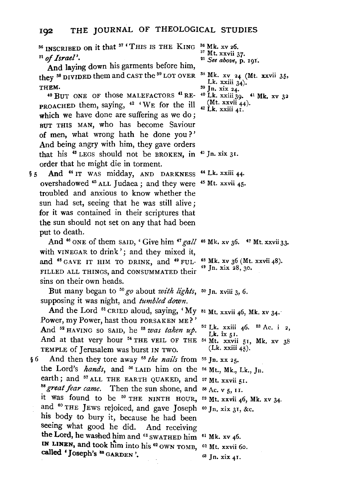<sup>36</sup> INSCRIBED on it that <sup>37</sup> 'THIS IS THE KING <sup>21</sup> of Israel'.<br>And laying down his garments before him, 36 Mk. XV 26. 37 Mt. xxvii 37· 21 *See above,* p. 191·.

they <sup>38</sup> DIVIDED them and CAST the <sup>39</sup> LOT OVER THEM.

 $40$  BUT ONE OF those MALEFACTORS  $41$  RE-  $40$  Lk. xxiii 39.  $41$  Mk. xv 32 PROACHED them, saying,  $42$  'WE for the ill  $_4$ <sup>(Mt. xxvii 44)</sup>. which we have done are suffering as we do; BUT THIS MAN, who has become Saviour of men, what wrong hath he done you?' And being angry with him, they gave orders that his 48 LEGS should not be BROKEN, in *4°* Jn. xix 31. order that he might die in torment.

5 And <sup>44</sup> IT WAS midday, AND DARKNESS <sup>44</sup> Lk. xxiii 44. overshadowed <sup>45</sup> ALL Judaea; and they were <sup>45</sup> Mt. xxvii 45. troubled and anxious to know whether the sun had set, seeing that he was still alive; for it was contained in their scriptures that the sun should not set on any that had been put to death.

And <sup>46</sup> ONE of them SAID, ' Give him  $47$  gall <sup>46</sup> Mk. xv 36.  $47$  Mt. xxvii 33. with VINEGAR to drink'; and they mixed it, and <sup>48</sup> GAVE IT HIM TO DRINK, and <sup>49</sup> FUL-FILLED ALL THINGS, and CONSUMMATED their sins on their own heads.

But many began to <sup>50</sup> go about *with lights*, <sup>50</sup> Jn. xviii 3, 6. supposing it was night, and *tumbled down.* 

And the Lord  $51$  CRIED aloud, saying, 'My  $51$  Mt. xxvii 46, Mk. xv 34. Power, my Power, hast thou FORSAKEN ME? ' And <sup>52</sup> HAVING SO SAID, he <sup>53</sup> was taken up. And at that very hour  $^{54}$  THE VEIL OF THE  $^{54}$  Mt. xxvii 51, Mk. xv 38 TEMPLE of Jerusalem was burst IN Two.

§ 6 And then they tore away 55 *the nails* from 55 Jn. XX 25. the Lord's *hands*, and <sup>56</sup> LAID him on the <sup>56</sup> Mt., Mk., Lk., Jn. earth; and <sup>57</sup> ALL THE EARTH QUAKED, and 57 Mt. xxvii 51.<br><sup>58</sup> great fear came. Then the sun shone, and 58 Ac. x 5. 11. it was found to be  $59$  THE NINTH HOUR,  $59$  Mt.  $xxvii$  46, Mk.  $xy$  34. and  $60$  THE JEWS rejoiced, and gave Joseph  $60$  Jn. xix 31, &c. his body to bury it, because he had been seeing what good he did. And receiving the Lord, he washed him and  $61$  swathed him  $61$  Mk. xv 46. IN LINEN, and took him into his  $^{62}$  OWN TOMB,  $^{62}$  Mt. xxvii 60. called 'Joseph's 88 GARDEN'. <sup>58</sup> great fear came. Then the sun shone, and <sup>58</sup> Ac. v  $_5$ , 11.

- 
- 
- 
- <sup>38</sup> Mk. xv 24 (Mt. xxvii 35, Lk. xxiii 34).
- $39$  Jn. xix 24.
- 
- 

48 Mk. xv 36 (Mt. xxvii 48). 49 Jn. xix 28, 30.

 $5^2$  Lk. xxiii 46.  $5^3$  Ac. i 2, Lk. ix  $51$ . (Lk. xxiii 45).

- 
- $63$  Jn. xix 41.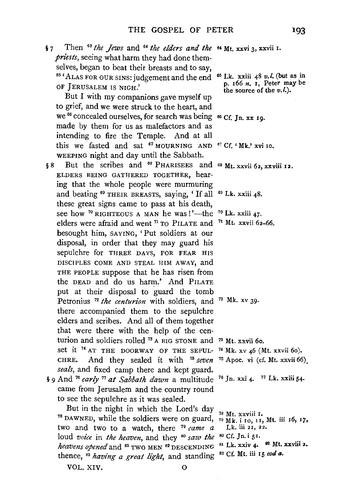§ *7* Then 60 *the Jews* and 64 *the elders and the*  64 Mt. xxvi 3, xxvii r. *priests,* seeing what harm they had done themselves, began to beat their breasts and to say,<br><sup>65</sup> 'ALAS FOR OUR SINS: judgement and the end OF JERUSALEM IS NIGH.'

But I with my companions gave myself up to grief, and we were struck to the heart, and we <sup>66</sup> concealed ourselves, for search was being <sup>66</sup> Cf. Jn. xx 19. made by them for us as malefactors and as intending to fire the Temple. And at all his we fasted and sat  $67$  MOURNING AND  $67$  Cf.  $4$  Mk.' xvi 10. WEEPING night and day until the Sabbath.

8 But the scribes and <sup>68</sup> PHARISEES and <sup>68</sup> Mt. xxvii 62, xxviii 12. ELDERS BEING GATHERED TOGETHER, hearing that the whole people were murmuring and beating <sup>69</sup> THEIR BREASTS, saying, 'If all <sup>69</sup> Lk. xxiii 48. these great signs came to pass at his death, see how <sup>70</sup> RIGHTEOUS A MAN he was!'—the <sup>70</sup> Lk. xxiii 47. ee how <sup>70</sup> RIGHTEOUS A MAN he was!'—the <sup>70</sup> Lk. xxiii 47.<br>elders were afraid and went <sup>71</sup> TO PILATE and <sup>71</sup> Mt. xxvii 62–66. besought him, SAYING, 'Put soldiers at our disposal, in order that they may guard his sepulchre for THREE DAYS, FOR FEAR HIS DISCIPLES COME AND STEAL HIM AWAY, and THE PEOPLE suppose that he has risen from the DEAD and do us harm.' And PILATE put at their disposal to guard the tomb Petronius <sup>72</sup> the centurion with soldiers, and <sup>72</sup> Mk. xv 39. there accompanied them to the sepulchre elders and scribes. And all of them together that were there with the help of the cenurion and soldiers rolled  $73$  A BIG STONE and  $73$  Mt. xxvii 60. set it  $74$  AT THE DOORWAY OF THE SEPUL-  $74$  Mk. xv 46 (Mt. xxvii 60). CHRE. And they sealed it with  $75 \text{ seven}$   $75 \text{ Apoc}$ , vi (cf. Mt. xxvii 66), *seals,* and fixed camp there and kept guard.  $\overline{a}$  9 And <sup>76</sup> *early* <sup>77</sup> at Sabbath dawn a multitude <sup>76</sup> Jn. xxi 4. <sup>77</sup> Lk. xxiii 54.

came from Jerusalem and the country round to see the sepulchre as it was sealed.

But in the night in which the Lord's day 7 <sup>78</sup> DAWNED, while the soldiers were on guard, two and two to a watch, there 79 *came a*  loud *voice* in *the heaven*, and they <sup>80</sup> saw the *heavens opened* and <sup>81</sup> TWO MEN <sup>82</sup> DESCENDING thence, 83 *having a great light,* and standing ss Cf. Mt. iii 15 *cod a.* VOL. XIV. 0

65 Lk. xxiii 48 *v.* I. (but as in p. r66 *n.* r, Peter may be the source of the  $v(l)$ .

- 
- 

- 7S Mt. xxviii r. 79 Mk. i ro, u, Mt. iii r6, 17, Lk. iii 21, 22. so Cf. Jn. i 51.
- 81 Lk. xxiv 4.  $82$  Mt. xxviii 2.
-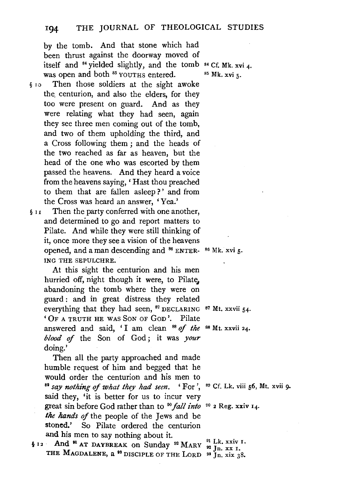by the tomb. And that stone which had been thrust against the doorway moved of tself and  $84$  yielded slightly, and the tomb  $84$  Cf. Mk. xvi 4. was open and both <sup>85</sup> YOUTHS entered.

§ 1 o Then those soldiers at the sight awoke the. centurion, and also the elders, for they too were present on guard. And as they were relating what they had seen, again they see three men coming out of the tomb, and two of them upholding the third, and a Cross following them ; and the heads of the two reached as far as heaven, but the head of the one who was escorted by them passed the heavens. And they heard a voice from the heavens saying, 'Hast thou preached to them that are fallen asleep ? ' and from the Cross was heard an answer, 'Yea.'

 $§$  11 Then the party conferred with one another, and determined to go and report matters to Pilate. And while they were still thinking of it, once more they see a vision of the heavens pened, and a man descending and  $^{86}$  ENTER-  $^{86}$  Mk, xvi 5. ING THE SEPULCHRE.

At this sight the centurion and his men hurried off, night though it were, to Pilate, abandoning the tomb where they were on guard : and in great distress they related verything that they had seen.  $87$  DECLARING  $87$  Mt. xxvii 54. 'OF A TRUTH HE WAS SoN OF GoD'. Pilate answered and said, ' I am clean 88 *of the*  88 Mt. xxvii 24. *blood* if the Son of God ; it was *your*  doing.'

Then all the party approached and made humble request of him and begged that he vould order the centurion and his men to *88 ° say nothing of what they had seen.* ' For ', <sup>39</sup> Cf. Lk. viii 56, Mt. xvii 9. said they, 'it is better for us to incur very great sin before God rather than to <sup>90</sup> *fall into* <sup>90</sup> 2 Reg. xxiv I4. *the hands of* the people of the Jews and be stoned.' So Pilate ordered the centurion and his men to say nothing about it.

**EXECUTE:** The 11 STEET IN SUPPORTED THE STATE TO AND 11 AT DAYBREAK ON Sunday <sup>92</sup> MARY  $\frac{91}{92}$  In XX I. THE MAGDALENE, a  $^{93}$  DISCIPLE OF THE LORD  $^{93}$  Jn. xx I,

85 Mk. xvi 5·